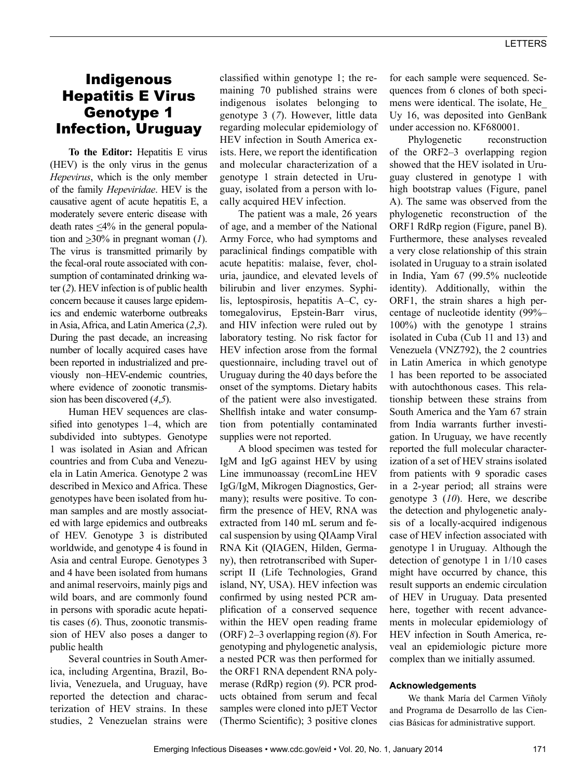## Indigenous Hepatitis E Virus Genotype 1 Infection, Uruguay

**To the Editor:** Hepatitis E virus (HEV) is the only virus in the genus *Hepevirus*, which is the only member of the family *Hepeviridae*. HEV is the causative agent of acute hepatitis E, a moderately severe enteric disease with death rates  $\leq 4\%$  in the general population and  $\geq 30\%$  in pregnant woman (1). The virus is transmitted primarily by the fecal-oral route associated with consumption of contaminated drinking water (*2*). HEV infection is of public health concern because it causes large epidemics and endemic waterborne outbreaks in Asia, Africa, and Latin America (*2*,*3*). During the past decade, an increasing number of locally acquired cases have been reported in industrialized and previously non–HEV-endemic countries, where evidence of zoonotic transmission has been discovered (*4*,*5*).

Human HEV sequences are classified into genotypes 1–4, which are subdivided into subtypes. Genotype 1 was isolated in Asian and African countries and from Cuba and Venezuela in Latin America. Genotype 2 was described in Mexico and Africa. These genotypes have been isolated from human samples and are mostly associated with large epidemics and outbreaks of HEV. Genotype 3 is distributed worldwide, and genotype 4 is found in Asia and central Europe. Genotypes 3 and 4 have been isolated from humans and animal reservoirs, mainly pigs and wild boars, and are commonly found in persons with sporadic acute hepatitis cases (*6*). Thus, zoonotic transmission of HEV also poses a danger to public health

Several countries in South America, including Argentina, Brazil, Bolivia, Venezuela, and Uruguay, have reported the detection and characterization of HEV strains. In these studies, 2 Venezuelan strains were classified within genotype 1; the remaining 70 published strains were indigenous isolates belonging to genotype 3 (*7*). However, little data regarding molecular epidemiology of HEV infection in South America exists. Here, we report the identification and molecular characterization of a genotype 1 strain detected in Uruguay, isolated from a person with locally acquired HEV infection.

The patient was a male, 26 years of age, and a member of the National Army Force, who had symptoms and paraclinical findings compatible with acute hepatitis: malaise, fever, choluria, jaundice, and elevated levels of bilirubin and liver enzymes. Syphilis, leptospirosis, hepatitis A–C, cytomegalovirus, Epstein-Barr virus, and HIV infection were ruled out by laboratory testing. No risk factor for HEV infection arose from the formal questionnaire, including travel out of Uruguay during the 40 days before the onset of the symptoms. Dietary habits of the patient were also investigated. Shellfish intake and water consumption from potentially contaminated supplies were not reported.

A blood specimen was tested for IgM and IgG against HEV by using Line immunoassay (recomLine HEV IgG/IgM, Mikrogen Diagnostics, Germany); results were positive. To confirm the presence of HEV, RNA was extracted from 140 mL serum and fecal suspension by using QIAamp Viral RNA Kit (QIAGEN, Hilden, Germany), then retrotranscribed with Superscript II (Life Technologies, Grand island, NY, USA). HEV infection was confirmed by using nested PCR amplification of a conserved sequence within the HEV open reading frame (ORF) 2–3 overlapping region (*8*). For genotyping and phylogenetic analysis, a nested PCR was then performed for the ORF1 RNA dependent RNA polymerase (RdRp) region (*9*). PCR products obtained from serum and fecal samples were cloned into pJET Vector (Thermo Scientific); 3 positive clones for each sample were sequenced. Sequences from 6 clones of both specimens were identical. The isolate, He\_ Uy 16, was deposited into GenBank under accession no. KF680001.

Phylogenetic reconstruction of the ORF2–3 overlapping region showed that the HEV isolated in Uruguay clustered in genotype 1 with high bootstrap values (Figure, panel A). The same was observed from the phylogenetic reconstruction of the ORF1 RdRp region (Figure, panel B). Furthermore, these analyses revealed a very close relationship of this strain isolated in Uruguay to a strain isolated in India, Yam 67 (99.5% nucleotide identity). Additionally, within the ORF1, the strain shares a high percentage of nucleotide identity (99%– 100%) with the genotype 1 strains isolated in Cuba (Cub 11 and 13) and Venezuela (VNZ792), the 2 countries in Latin America in which genotype 1 has been reported to be associated with autochthonous cases. This relationship between these strains from South America and the Yam 67 strain from India warrants further investigation. In Uruguay, we have recently reported the full molecular characterization of a set of HEV strains isolated from patients with 9 sporadic cases in a 2-year period; all strains were genotype 3 (*10*). Here, we describe the detection and phylogenetic analysis of a locally-acquired indigenous case of HEV infection associated with genotype 1 in Uruguay. Although the detection of genotype 1 in 1/10 cases might have occurred by chance, this result supports an endemic circulation of HEV in Uruguay. Data presented here, together with recent advancements in molecular epidemiology of HEV infection in South America, reveal an epidemiologic picture more complex than we initially assumed.

## **Acknowledgements**

We thank María del Carmen Viñoly and Programa de Desarrollo de las Ciencias Básicas for administrative support.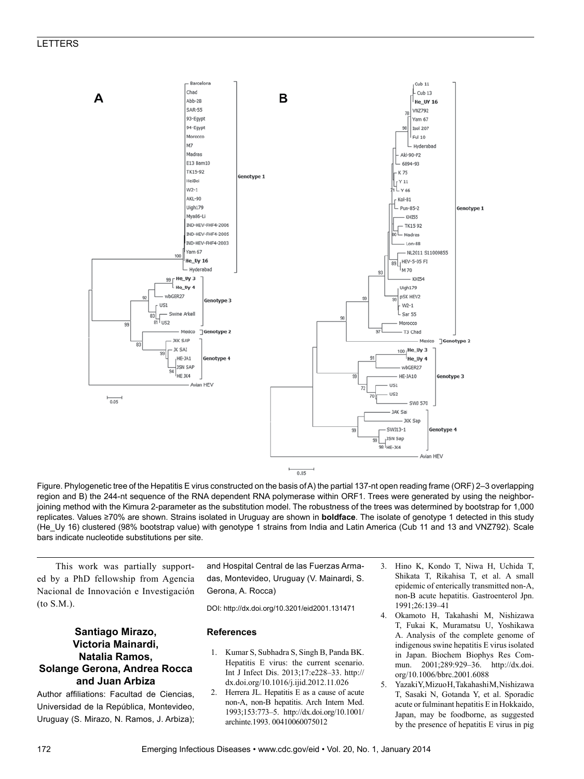

Figure. Phylogenetic tree of the Hepatitis E virus constructed on the basis ofA) the partial 137-nt open reading frame (ORF) 2–3 overlapping region and B) the 244-nt sequence of the RNA dependent RNA polymerase within ORF1. Trees were generated by using the neighborjoining method with the Kimura 2-parameter as the substitution model. The robustness of the trees was determined by bootstrap for 1,000 replicates. Values ≥70% are shown. Strains isolated in Uruguay are shown in **boldface**. The isolate of genotype 1 detected in this study (He\_Uy 16) clustered (98% bootstrap value) with genotype 1 strains from India and Latin America (Cub 11 and 13 and VNZ792). Scale bars indicate nucleotide substitutions per site.

This work was partially supported by a PhD fellowship from Agencia Nacional de Innovación e Investigación (to S.M.).

## **Santiago Mirazo, Victoria Mainardi, Natalia Ramos, Solange Gerona, Andrea Rocca and Juan Arbiza**

Author affiliations: Facultad de Ciencias, Universidad de la República, Montevideo, Uruguay (S. Mirazo, N. Ramos, J. Arbiza); and Hospital Central de las Fuerzas Armadas, Montevideo, Uruguay (V. Mainardi, S. Gerona, A. Rocca)

DOI: http://dx.doi.org/10.3201/eid2001.131471

## **References**

- 1. Kumar S, Subhadra S, Singh B, Panda BK. Hepatitis E virus: the current scenario. Int J Infect Dis. 2013;17:e228–33. http:// dx.doi.org/10.1016/j.ijid.2012.11.026
- 2. Herrera JL. Hepatitis E as a cause of acute non-A, non-B hepatitis. Arch Intern Med. 1993;153:773–5. http://dx.doi.org/10.1001/ archinte.1993. 00410060075012
- 3. Hino K, Kondo T, Niwa H, Uchida T, Shikata T, Rikahisa T, et al. A small epidemic of enterically transmitted non-A, non-B acute hepatitis. Gastroenterol Jpn. 1991;26:139–41
- 4. Okamoto H, Takahashi M, Nishizawa T, Fukai K, Muramatsu U, Yoshikawa A. Analysis of the complete genome of indigenous swine hepatitis E virus isolated in Japan. Biochem Biophys Res Commun. 2001;289:929–36. http://dx.doi. org/10.1006/bbrc.2001.6088
- 5. Yazaki Y, Mizuo H, Takahashi M, Nishizawa T, Sasaki N, Gotanda Y, et al. Sporadic acute or fulminant hepatitis E in Hokkaido, Japan, may be foodborne, as suggested by the presence of hepatitis E virus in pig